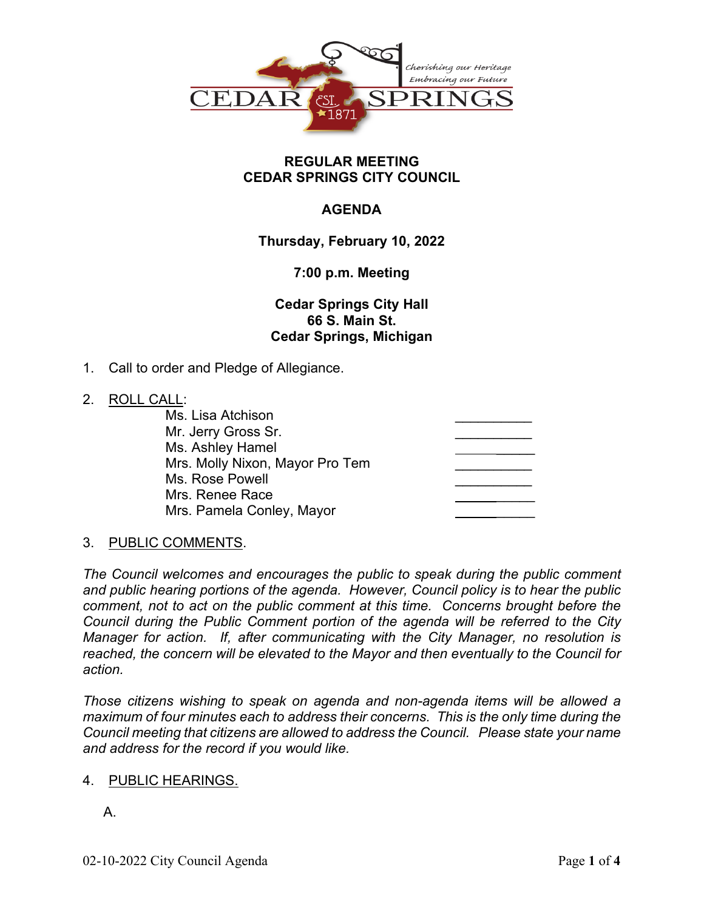

### **REGULAR MEETING CEDAR SPRINGS CITY COUNCIL**

# **AGENDA**

# **Thursday, February 10, 2022**

# **7:00 p.m. Meeting**

**Cedar Springs City Hall 66 S. Main St. Cedar Springs, Michigan**

1. Call to order and Pledge of Allegiance.

### 2. ROLL CALL:

| Ms. Lisa Atchison               |  |
|---------------------------------|--|
| Mr. Jerry Gross Sr.             |  |
| Ms. Ashley Hamel                |  |
| Mrs. Molly Nixon, Mayor Pro Tem |  |
| Ms. Rose Powell                 |  |
| Mrs. Renee Race                 |  |
| Mrs. Pamela Conley, Mayor       |  |
|                                 |  |

# 3. PUBLIC COMMENTS.

*The Council welcomes and encourages the public to speak during the public comment and public hearing portions of the agenda. However, Council policy is to hear the public comment, not to act on the public comment at this time. Concerns brought before the Council during the Public Comment portion of the agenda will be referred to the City Manager for action. If, after communicating with the City Manager, no resolution is reached, the concern will be elevated to the Mayor and then eventually to the Council for action.*

*Those citizens wishing to speak on agenda and non-agenda items will be allowed a maximum of four minutes each to address their concerns. This is the only time during the Council meeting that citizens are allowed to address the Council. Please state your name and address for the record if you would like.*

### 4. PUBLIC HEARINGS.

A.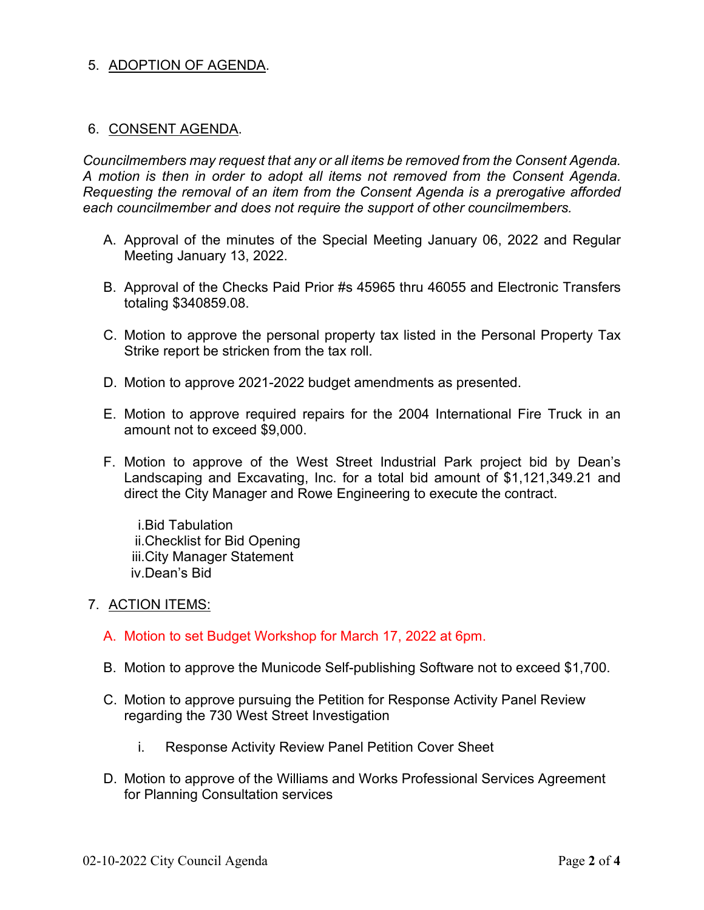### 5. ADOPTION OF AGENDA.

#### 6. CONSENT AGENDA.

*Councilmembers may request that any or all items be removed from the Consent Agenda. A motion is then in order to adopt all items not removed from the Consent Agenda. Requesting the removal of an item from the Consent Agenda is a prerogative afforded each councilmember and does not require the support of other councilmembers.*

- A. Approval of the minutes of the Special Meeting January 06, 2022 and Regular Meeting January 13, 2022.
- B. Approval of the Checks Paid Prior #s 45965 thru 46055 and Electronic Transfers totaling \$340859.08.
- C. Motion to approve the personal property tax listed in the Personal Property Tax Strike report be stricken from the tax roll.
- D. Motion to approve 2021-2022 budget amendments as presented.
- E. Motion to approve required repairs for the 2004 International Fire Truck in an amount not to exceed \$9,000.
- F. Motion to approve of the West Street Industrial Park project bid by Dean's Landscaping and Excavating, Inc. for a total bid amount of \$1,121,349.21 and direct the City Manager and Rowe Engineering to execute the contract.

i.Bid Tabulation ii.Checklist for Bid Opening iii.City Manager Statement iv.Dean's Bid

#### 7. ACTION ITEMS:

- A. Motion to set Budget Workshop for March 17, 2022 at 6pm.
- B. Motion to approve the Municode Self-publishing Software not to exceed \$1,700.
- C. Motion to approve pursuing the Petition for Response Activity Panel Review regarding the 730 West Street Investigation
	- i. Response Activity Review Panel Petition Cover Sheet
- D. Motion to approve of the Williams and Works Professional Services Agreement for Planning Consultation services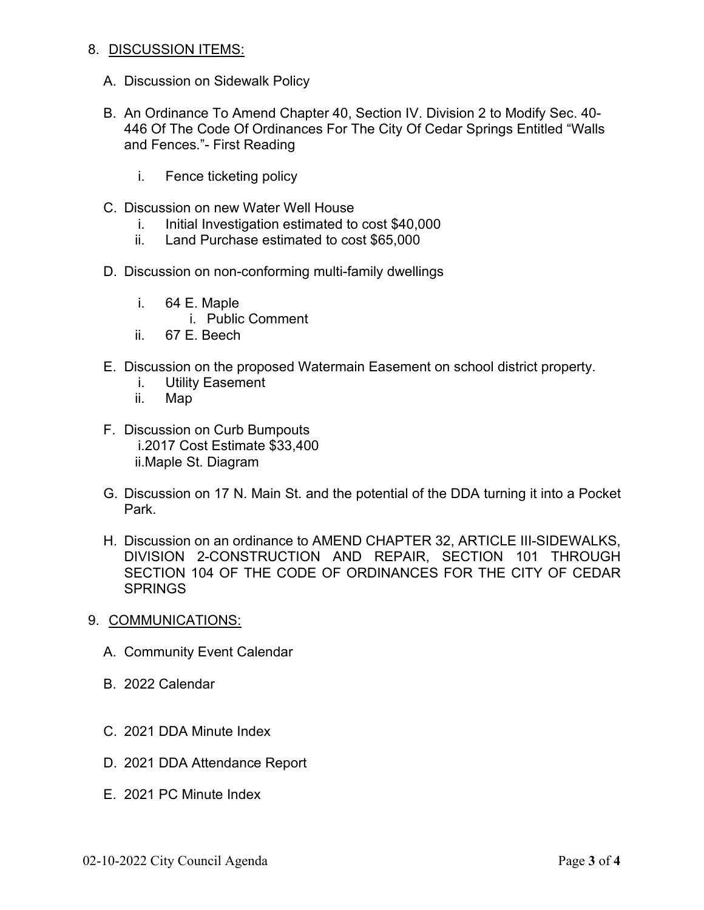#### 8. DISCUSSION ITEMS:

- A. Discussion on Sidewalk Policy
- B. An Ordinance To Amend Chapter 40, Section IV. Division 2 to Modify Sec. 40- 446 Of The Code Of Ordinances For The City Of Cedar Springs Entitled "Walls and Fences."- First Reading
	- i. Fence ticketing policy
- C. Discussion on new Water Well House
	- i. Initial Investigation estimated to cost \$40,000
	- ii. Land Purchase estimated to cost \$65,000
- D. Discussion on non-conforming multi-family dwellings
	- i. 64 E. Maple
		- i. Public Comment
	- ii. 67 E. Beech
- E. Discussion on the proposed Watermain Easement on school district property.
	- i. Utility Easement
	- ii. Map
- F. Discussion on Curb Bumpouts i.2017 Cost Estimate \$33,400 ii.Maple St. Diagram
- G. Discussion on 17 N. Main St. and the potential of the DDA turning it into a Pocket Park.
- H. Discussion on an ordinance to AMEND CHAPTER 32, ARTICLE III-SIDEWALKS, DIVISION 2-CONSTRUCTION AND REPAIR, SECTION 101 THROUGH SECTION 104 OF THE CODE OF ORDINANCES FOR THE CITY OF CEDAR **SPRINGS**
- 9. COMMUNICATIONS:
	- A. Community Event Calendar
	- B. 2022 Calendar
	- C. 2021 DDA Minute Index
	- D. 2021 DDA Attendance Report
	- E. 2021 PC Minute Index